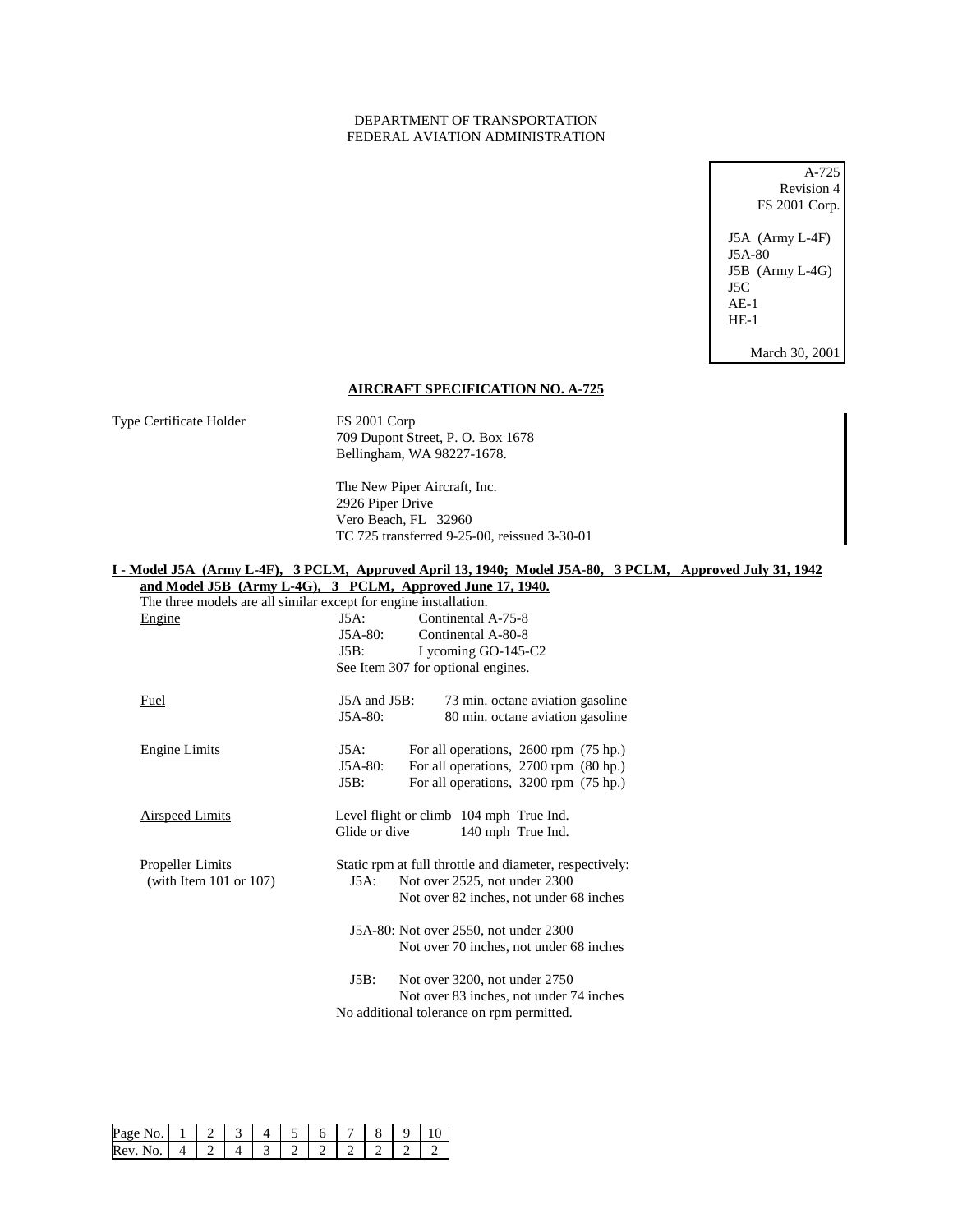## DEPARTMENT OF TRANSPORTATION FEDERAL AVIATION ADMINISTRATION

A-725 Revision 4 FS 2001 Corp. J5A (Army L-4F) J5A-80 J5B (Army L-4G) J5C AE-1 HE-1

March 30, 2001

## **AIRCRAFT SPECIFICATION NO. A-725**

Type Certificate Holder FS 2001 Corp 709 Dupont Street, P. O. Box 1678 Bellingham, WA 98227-1678.

> The New Piper Aircraft, Inc. 2926 Piper Drive Vero Beach, FL 32960 TC 725 transferred 9-25-00, reissued 3-30-01

## **I - Model J5A (Army L-4F), 3 PCLM, Approved April 13, 1940; Model J5A-80, 3 PCLM, Approved July 31, 1942**

| and Model J5B (Army L-4G), 3 PCLM, Approved June 17, 1940.       |                   |                                                         |
|------------------------------------------------------------------|-------------------|---------------------------------------------------------|
| The three models are all similar except for engine installation. |                   |                                                         |
| Engine                                                           | $J5A$ :           | Continental A-75-8                                      |
|                                                                  | $J5A-80:$         | Continental A-80-8                                      |
|                                                                  | J5B:              | Lycoming GO-145-C2                                      |
|                                                                  |                   | See Item 307 for optional engines.                      |
| Fuel                                                             | $J5A$ and $J5B$ : | 73 min. octane aviation gasoline                        |
|                                                                  | $J5A-80:$         | 80 min. octane aviation gasoline                        |
| <b>Engine Limits</b>                                             | J5A:              | For all operations, 2600 rpm (75 hp.)                   |
|                                                                  | $J5A-80:$         | For all operations, 2700 rpm (80 hp.)                   |
|                                                                  | J5B:              | For all operations, 3200 rpm (75 hp.)                   |
| <b>Airspeed Limits</b>                                           |                   | Level flight or climb 104 mph True Ind.                 |
|                                                                  | Glide or dive     | 140 mph True Ind.                                       |
| <b>Propeller Limits</b>                                          |                   | Static rpm at full throttle and diameter, respectively: |
| (with Item $101$ or $107$ )                                      | $J5A$ :           | Not over 2525, not under 2300                           |
|                                                                  |                   | Not over 82 inches, not under 68 inches                 |
|                                                                  |                   | J5A-80: Not over 2550, not under 2300                   |
|                                                                  |                   | Not over 70 inches, not under 68 inches                 |
|                                                                  | J5B:              | Not over 3200, not under 2750                           |
|                                                                  |                   | Not over 83 inches, not under 74 inches                 |
|                                                                  |                   | No additional tolerance on rpm permitted.               |
|                                                                  |                   |                                                         |

| Page No. |  |  |  |  |  |
|----------|--|--|--|--|--|
| Rev. No. |  |  |  |  |  |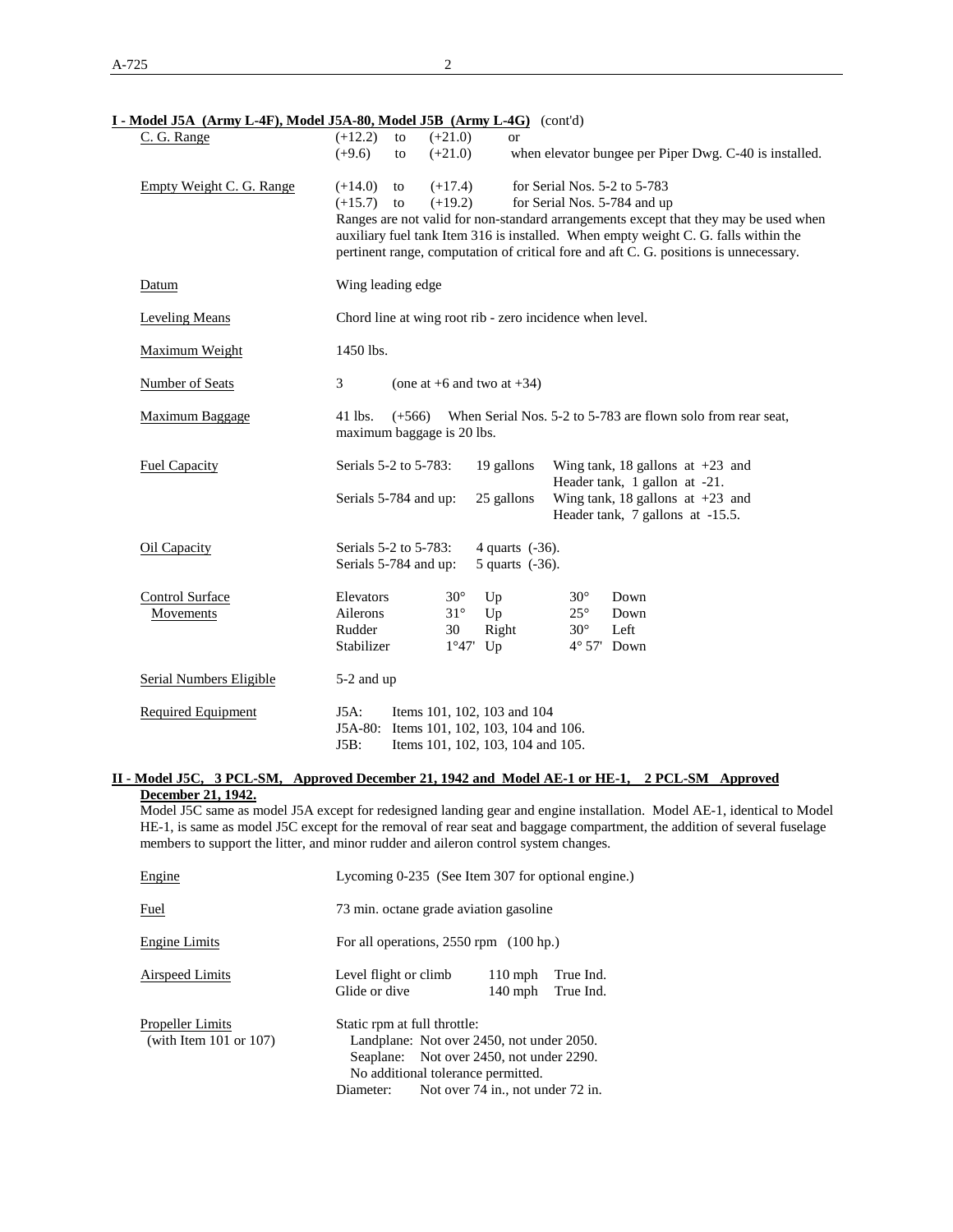| I - Model J5A (Army L-4F), Model J5A-80, Model J5B (Army L-4G) (cont'd) |                                           |                                                          |                                   |                              |                                                                                                                                                                                                                                                                      |  |  |  |
|-------------------------------------------------------------------------|-------------------------------------------|----------------------------------------------------------|-----------------------------------|------------------------------|----------------------------------------------------------------------------------------------------------------------------------------------------------------------------------------------------------------------------------------------------------------------|--|--|--|
| C. G. Range                                                             | $(+12.2)$<br>to                           | $(+21.0)$                                                | or                                |                              |                                                                                                                                                                                                                                                                      |  |  |  |
|                                                                         | $(+9.6)$<br>to                            | $(+21.0)$                                                |                                   |                              | when elevator bungee per Piper Dwg. C-40 is installed.                                                                                                                                                                                                               |  |  |  |
| Empty Weight C. G. Range                                                | $(+14.0)$<br>to                           | $(+17.4)$                                                |                                   | for Serial Nos. 5-2 to 5-783 |                                                                                                                                                                                                                                                                      |  |  |  |
|                                                                         | $(+15.7)$ to                              | $(+19.2)$<br>for Serial Nos. 5-784 and up                |                                   |                              |                                                                                                                                                                                                                                                                      |  |  |  |
|                                                                         |                                           |                                                          |                                   |                              | Ranges are not valid for non-standard arrangements except that they may be used when<br>auxiliary fuel tank Item 316 is installed. When empty weight C. G. falls within the<br>pertinent range, computation of critical fore and aft C. G. positions is unnecessary. |  |  |  |
| Datum                                                                   | Wing leading edge                         |                                                          |                                   |                              |                                                                                                                                                                                                                                                                      |  |  |  |
| <b>Leveling Means</b>                                                   |                                           | Chord line at wing root rib - zero incidence when level. |                                   |                              |                                                                                                                                                                                                                                                                      |  |  |  |
| Maximum Weight                                                          | 1450 lbs.                                 |                                                          |                                   |                              |                                                                                                                                                                                                                                                                      |  |  |  |
| <b>Number of Seats</b>                                                  | 3                                         |                                                          | (one at $+6$ and two at $+34$ )   |                              |                                                                                                                                                                                                                                                                      |  |  |  |
| <b>Maximum Baggage</b>                                                  | $41$ lbs.<br>maximum baggage is 20 lbs.   | $(+566)$                                                 |                                   |                              | When Serial Nos. 5-2 to 5-783 are flown solo from rear seat,                                                                                                                                                                                                         |  |  |  |
| <b>Fuel Capacity</b>                                                    | Serials 5-2 to 5-783:                     |                                                          | 19 gallons                        |                              | Wing tank, 18 gallons at $+23$ and<br>Header tank, 1 gallon at -21.                                                                                                                                                                                                  |  |  |  |
|                                                                         | Serials 5-784 and up:                     |                                                          | 25 gallons                        |                              | Wing tank, 18 gallons at $+23$ and<br>Header tank, 7 gallons at -15.5.                                                                                                                                                                                               |  |  |  |
| Oil Capacity                                                            | Serials 5-2 to 5-783:                     |                                                          | 4 quarts (-36).                   |                              |                                                                                                                                                                                                                                                                      |  |  |  |
|                                                                         | Serials 5-784 and up:                     |                                                          | 5 quarts (-36).                   |                              |                                                                                                                                                                                                                                                                      |  |  |  |
| <b>Control Surface</b>                                                  | Elevators                                 | $30^\circ$                                               | Up                                | $30^\circ$                   | Down                                                                                                                                                                                                                                                                 |  |  |  |
| Movements                                                               | Ailerons                                  | $31^\circ$                                               | Up                                | $25^{\circ}$                 | Down                                                                                                                                                                                                                                                                 |  |  |  |
|                                                                         | Rudder                                    | 30                                                       | Right                             | $30^\circ$                   | Left                                                                                                                                                                                                                                                                 |  |  |  |
|                                                                         | Stabilizer                                |                                                          | $1°47'$ Up                        | $4^{\circ}$ 57' Down         |                                                                                                                                                                                                                                                                      |  |  |  |
| <b>Serial Numbers Eligible</b>                                          | 5-2 and up                                |                                                          |                                   |                              |                                                                                                                                                                                                                                                                      |  |  |  |
| <b>Required Equipment</b>                                               | $J5A$ :                                   |                                                          | Items 101, 102, 103 and 104       |                              |                                                                                                                                                                                                                                                                      |  |  |  |
|                                                                         | J5A-80: Items 101, 102, 103, 104 and 106. |                                                          |                                   |                              |                                                                                                                                                                                                                                                                      |  |  |  |
|                                                                         | J5B:                                      |                                                          | Items 101, 102, 103, 104 and 105. |                              |                                                                                                                                                                                                                                                                      |  |  |  |

## **II - Model J5C, 3 PCL-SM, Approved December 21, 1942 and Model AE-1 or HE-1, 2 PCL-SM Approved December 21, 1942.**

Model J5C same as model J5A except for redesigned landing gear and engine installation. Model AE-1, identical to Model HE-1, is same as model J5C except for the removal of rear seat and baggage compartment, the addition of several fuselage members to support the litter, and minor rudder and aileron control system changes.

| Engine                                                 | Lycoming 0-235 (See Item 307 for optional engine.) |                                                                                                                                                                  |                        |                        |  |
|--------------------------------------------------------|----------------------------------------------------|------------------------------------------------------------------------------------------------------------------------------------------------------------------|------------------------|------------------------|--|
| Fuel                                                   | 73 min. octane grade aviation gasoline             |                                                                                                                                                                  |                        |                        |  |
| Engine Limits                                          | For all operations, $2550$ rpm $(100$ hp.)         |                                                                                                                                                                  |                        |                        |  |
| Airspeed Limits                                        | Level flight or climb<br>Glide or dive             |                                                                                                                                                                  | $110$ mph<br>$140$ mph | True Ind.<br>True Ind. |  |
| <b>Propeller Limits</b><br>(with Item $101$ or $107$ ) | Static rpm at full throttle:<br>Diameter:          | Landplane: Not over 2450, not under 2050.<br>Seaplane: Not over 2450, not under 2290.<br>No additional tolerance permitted.<br>Not over 74 in., not under 72 in. |                        |                        |  |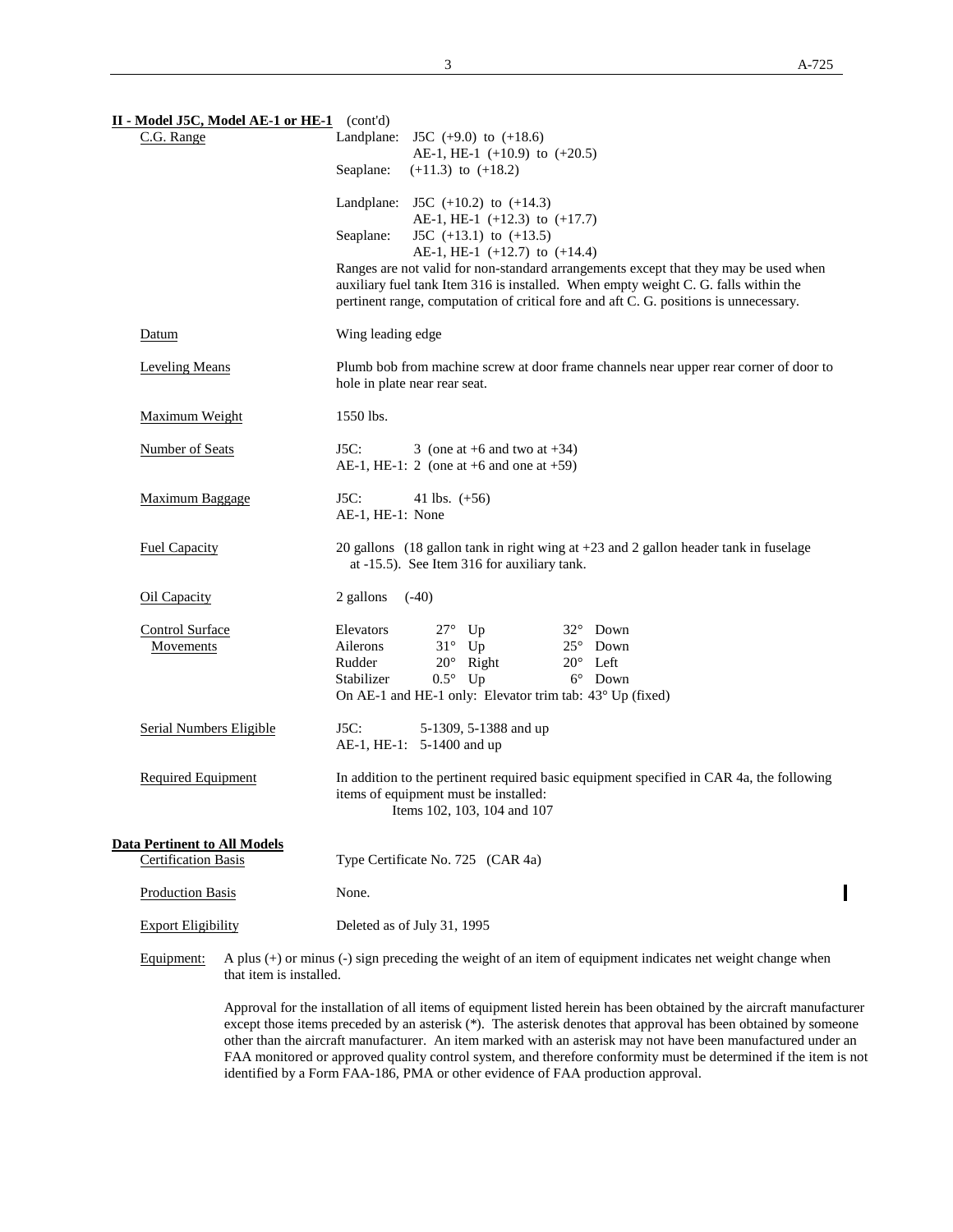| II - Model J5C, Model AE-1 or HE-1 (cont'd)                       |                                                                                                                                       |
|-------------------------------------------------------------------|---------------------------------------------------------------------------------------------------------------------------------------|
| C.G. Range                                                        | Landplane: J5C $(+9.0)$ to $(+18.6)$                                                                                                  |
|                                                                   | AE-1, HE-1 $(+10.9)$ to $(+20.5)$<br>Seaplane:<br>$(+11.3)$ to $(+18.2)$                                                              |
|                                                                   |                                                                                                                                       |
|                                                                   | Landplane: J5C $(+10.2)$ to $(+14.3)$                                                                                                 |
|                                                                   | AE-1, HE-1 $(+12.3)$ to $(+17.7)$<br>J5C $(+13.1)$ to $(+13.5)$<br>Seaplane:                                                          |
|                                                                   | AE-1, HE-1 $(+12.7)$ to $(+14.4)$                                                                                                     |
|                                                                   | Ranges are not valid for non-standard arrangements except that they may be used when                                                  |
|                                                                   | auxiliary fuel tank Item 316 is installed. When empty weight C. G. falls within the                                                   |
|                                                                   | pertinent range, computation of critical fore and aft C. G. positions is unnecessary.                                                 |
| Datum                                                             | Wing leading edge                                                                                                                     |
| <b>Leveling Means</b>                                             | Plumb bob from machine screw at door frame channels near upper rear corner of door to                                                 |
|                                                                   | hole in plate near rear seat.                                                                                                         |
| Maximum Weight                                                    | 1550 lbs.                                                                                                                             |
| Number of Seats                                                   | J5C:<br>3 (one at $+6$ and two at $+34$ )                                                                                             |
|                                                                   | AE-1, HE-1: 2 (one at $+6$ and one at $+59$ )                                                                                         |
|                                                                   |                                                                                                                                       |
| Maximum Baggage                                                   | J5C:<br>41 lbs. $(+56)$<br>AE-1, HE-1: None                                                                                           |
|                                                                   |                                                                                                                                       |
| <b>Fuel Capacity</b>                                              | 20 gallons (18 gallon tank in right wing at $+23$ and 2 gallon header tank in fuselage<br>at -15.5). See Item 316 for auxiliary tank. |
|                                                                   |                                                                                                                                       |
| Oil Capacity                                                      | $(-40)$<br>2 gallons                                                                                                                  |
| <b>Control Surface</b>                                            | Elevators<br>$27^\circ$ Up<br>$32^{\circ}$ Down                                                                                       |
| Movements                                                         | $31^\circ$ Up<br>$25^{\circ}$ Down<br>Ailerons                                                                                        |
|                                                                   | $20^{\circ}$ Left<br>Rudder<br>$20^\circ$ Right<br>$0.5^{\circ}$ Up<br>$6^{\circ}$ Down<br>Stabilizer                                 |
|                                                                   | On AE-1 and HE-1 only: Elevator trim tab: 43° Up (fixed)                                                                              |
|                                                                   |                                                                                                                                       |
| <b>Serial Numbers Eligible</b>                                    | J5C:<br>5-1309, 5-1388 and up<br>AE-1, HE-1: 5-1400 and up                                                                            |
|                                                                   |                                                                                                                                       |
| Required Equipment                                                | In addition to the pertinent required basic equipment specified in CAR 4a, the following                                              |
|                                                                   | items of equipment must be installed:<br>Items 102, 103, 104 and 107                                                                  |
|                                                                   |                                                                                                                                       |
| <b>Data Pertinent to All Models</b><br><b>Certification Basis</b> |                                                                                                                                       |
|                                                                   | Type Certificate No. 725 (CAR 4a)                                                                                                     |
| <b>Production Basis</b>                                           | None.                                                                                                                                 |
| <b>Export Eligibility</b>                                         | Deleted as of July 31, 1995                                                                                                           |
|                                                                   |                                                                                                                                       |

Equipment: A plus (+) or minus (-) sign preceding the weight of an item of equipment indicates net weight change when that item is installed.

> Approval for the installation of all items of equipment listed herein has been obtained by the aircraft manufacturer except those items preceded by an asterisk (\*). The asterisk denotes that approval has been obtained by someone other than the aircraft manufacturer. An item marked with an asterisk may not have been manufactured under an FAA monitored or approved quality control system, and therefore conformity must be determined if the item is not identified by a Form FAA-186, PMA or other evidence of FAA production approval.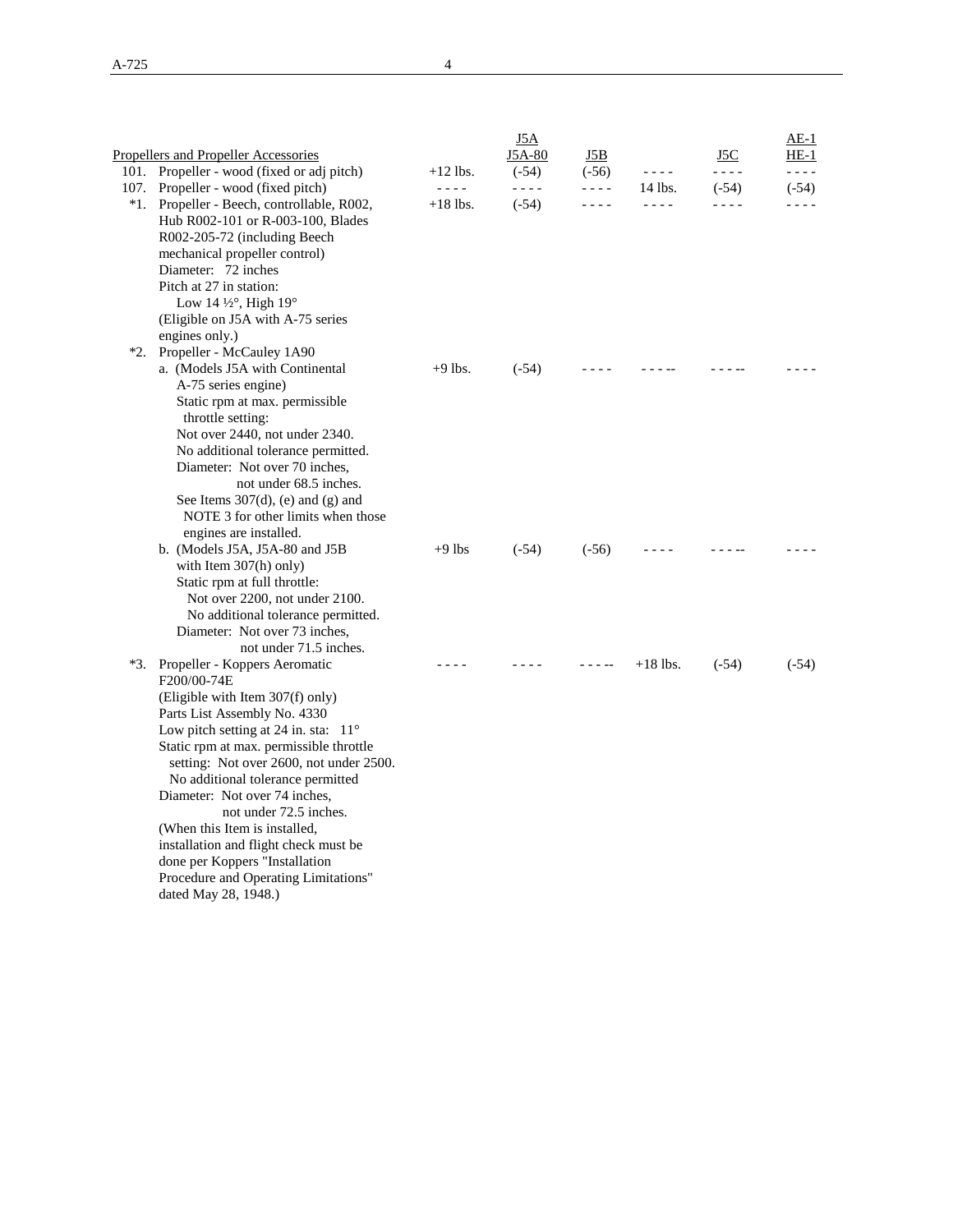|                                                                      |            | <u>J5A</u> |           |            |           | $AE-1$  |
|----------------------------------------------------------------------|------------|------------|-----------|------------|-----------|---------|
| <b>Propellers and Propeller Accessories</b>                          |            | J5A-80     | J5B       |            | J5C       | $HE-1$  |
| 101. Propeller - wood (fixed or adj pitch)                           | $+12$ lbs. | $(-54)$    | $(-56)$   | $- - - -$  | $- - - -$ | - - - - |
| 107. Propeller - wood (fixed pitch)                                  | $- - -$    | $- - - -$  | $- - - -$ | 14 lbs.    | $(-54)$   | $(-54)$ |
| *1. Propeller - Beech, controllable, R002,                           | $+18$ lbs. | $(-54)$    | $- - - -$ | $- - - -$  | - - - -   | - - - - |
| Hub R002-101 or R-003-100, Blades<br>R002-205-72 (including Beech    |            |            |           |            |           |         |
| mechanical propeller control)                                        |            |            |           |            |           |         |
| Diameter: 72 inches                                                  |            |            |           |            |           |         |
| Pitch at 27 in station:                                              |            |            |           |            |           |         |
| Low 14 1/2°, High 19°                                                |            |            |           |            |           |         |
| (Eligible on J5A with A-75 series)                                   |            |            |           |            |           |         |
| engines only.)                                                       |            |            |           |            |           |         |
| *2. Propeller - McCauley 1A90                                        |            |            |           |            |           |         |
| a. (Models J5A with Continental                                      | $+9$ lbs.  | $(-54)$    |           |            |           |         |
| A-75 series engine)                                                  |            |            |           |            |           |         |
| Static rpm at max. permissible                                       |            |            |           |            |           |         |
| throttle setting:                                                    |            |            |           |            |           |         |
| Not over 2440, not under 2340.<br>No additional tolerance permitted. |            |            |           |            |           |         |
| Diameter: Not over 70 inches,                                        |            |            |           |            |           |         |
| not under 68.5 inches.                                               |            |            |           |            |           |         |
| See Items $307(d)$ , (e) and (g) and                                 |            |            |           |            |           |         |
| NOTE 3 for other limits when those                                   |            |            |           |            |           |         |
| engines are installed.                                               |            |            |           |            |           |         |
| b. (Models J5A, J5A-80 and J5B                                       | $+9$ lbs   | $(-54)$    | $(-56)$   |            |           |         |
| with Item 307(h) only)                                               |            |            |           |            |           |         |
| Static rpm at full throttle:                                         |            |            |           |            |           |         |
| Not over 2200, not under 2100.                                       |            |            |           |            |           |         |
| No additional tolerance permitted.                                   |            |            |           |            |           |         |
| Diameter: Not over 73 inches,<br>not under 71.5 inches.              |            |            |           |            |           |         |
| *3. Propeller - Koppers Aeromatic                                    |            |            | - - - --  | $+18$ lbs. | $(-54)$   | $(-54)$ |
| F200/00-74E                                                          |            |            |           |            |           |         |
| (Eligible with Item 307(f) only)                                     |            |            |           |            |           |         |
| Parts List Assembly No. 4330                                         |            |            |           |            |           |         |
| Low pitch setting at 24 in. sta: $11^{\circ}$                        |            |            |           |            |           |         |
| Static rpm at max. permissible throttle                              |            |            |           |            |           |         |
| setting: Not over 2600, not under 2500.                              |            |            |           |            |           |         |
| No additional tolerance permitted                                    |            |            |           |            |           |         |
| Diameter: Not over 74 inches,                                        |            |            |           |            |           |         |
| not under 72.5 inches.<br>(When this Item is installed,              |            |            |           |            |           |         |
| installation and flight check must be                                |            |            |           |            |           |         |
| done per Koppers "Installation                                       |            |            |           |            |           |         |
| Procedure and Operating Limitations"                                 |            |            |           |            |           |         |
| dated May 28, 1948.)                                                 |            |            |           |            |           |         |
|                                                                      |            |            |           |            |           |         |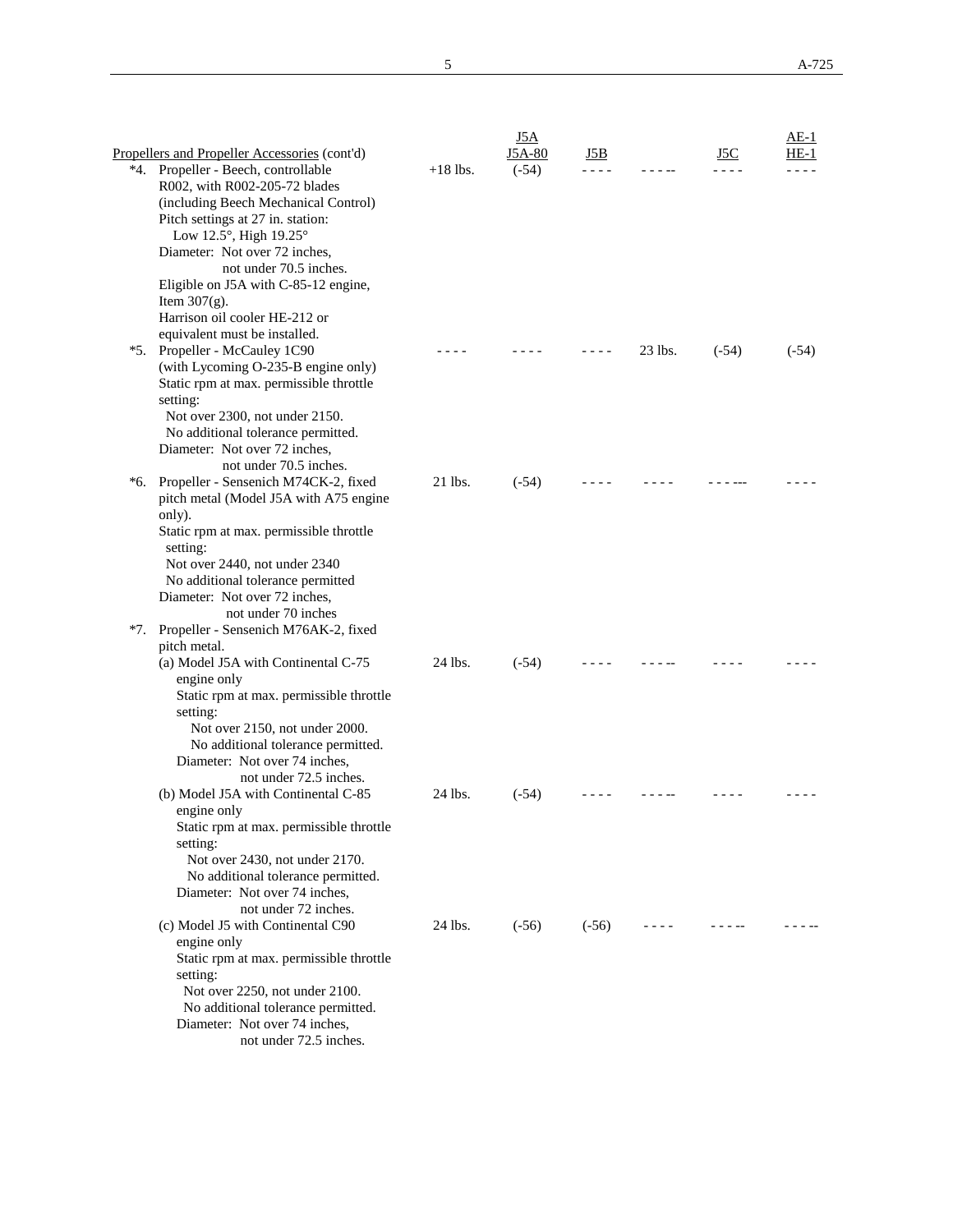|     |                                                         |            | J5A     |         |         |         | $AE-1$  |
|-----|---------------------------------------------------------|------------|---------|---------|---------|---------|---------|
|     | Propellers and Propeller Accessories (cont'd)           |            | J5A-80  | J5B.    |         | J5C     | HE-1    |
|     | *4. Propeller - Beech, controllable                     | $+18$ lbs. | $(-54)$ | .       |         |         |         |
|     | R002, with R002-205-72 blades                           |            |         |         |         |         |         |
|     | (including Beech Mechanical Control)                    |            |         |         |         |         |         |
|     | Pitch settings at 27 in. station:                       |            |         |         |         |         |         |
|     | Low 12.5°, High 19.25°                                  |            |         |         |         |         |         |
|     | Diameter: Not over 72 inches,                           |            |         |         |         |         |         |
|     | not under 70.5 inches.                                  |            |         |         |         |         |         |
|     | Eligible on J5A with C-85-12 engine,<br>Item $307(g)$ . |            |         |         |         |         |         |
|     | Harrison oil cooler HE-212 or                           |            |         |         |         |         |         |
|     | equivalent must be installed.                           |            |         |         |         |         |         |
|     | *5. Propeller - McCauley 1C90                           |            |         |         | 23 lbs. | $(-54)$ | $(-54)$ |
|     | (with Lycoming O-235-B engine only)                     |            |         |         |         |         |         |
|     | Static rpm at max. permissible throttle                 |            |         |         |         |         |         |
|     | setting:                                                |            |         |         |         |         |         |
|     | Not over 2300, not under 2150.                          |            |         |         |         |         |         |
|     | No additional tolerance permitted.                      |            |         |         |         |         |         |
|     | Diameter: Not over 72 inches,                           |            |         |         |         |         |         |
|     | not under 70.5 inches.                                  |            |         |         |         |         |         |
| *6. | Propeller - Sensenich M74CK-2, fixed                    | 21 lbs.    | $(-54)$ |         |         |         |         |
|     | pitch metal (Model J5A with A75 engine<br>only).        |            |         |         |         |         |         |
|     | Static rpm at max. permissible throttle                 |            |         |         |         |         |         |
|     | setting:                                                |            |         |         |         |         |         |
|     | Not over 2440, not under 2340                           |            |         |         |         |         |         |
|     | No additional tolerance permitted                       |            |         |         |         |         |         |
|     | Diameter: Not over 72 inches,                           |            |         |         |         |         |         |
|     | not under 70 inches                                     |            |         |         |         |         |         |
| *7. | Propeller - Sensenich M76AK-2, fixed                    |            |         |         |         |         |         |
|     | pitch metal.                                            |            |         |         |         |         |         |
|     | (a) Model J5A with Continental C-75                     | 24 lbs.    | $(-54)$ |         |         |         |         |
|     | engine only                                             |            |         |         |         |         |         |
|     | Static rpm at max. permissible throttle<br>setting:     |            |         |         |         |         |         |
|     | Not over 2150, not under 2000.                          |            |         |         |         |         |         |
|     | No additional tolerance permitted.                      |            |         |         |         |         |         |
|     | Diameter: Not over 74 inches,                           |            |         |         |         |         |         |
|     | not under 72.5 inches.                                  |            |         |         |         |         |         |
|     | (b) Model J5A with Continental C-85                     | 24 lbs.    | $(-54)$ |         |         |         |         |
|     | engine only                                             |            |         |         |         |         |         |
|     | Static rpm at max. permissible throttle                 |            |         |         |         |         |         |
|     | setting:                                                |            |         |         |         |         |         |
|     | Not over 2430, not under 2170.                          |            |         |         |         |         |         |
|     | No additional tolerance permitted.                      |            |         |         |         |         |         |
|     | Diameter: Not over 74 inches,<br>not under 72 inches.   |            |         |         |         |         |         |
|     | (c) Model J5 with Continental C90                       | 24 lbs.    | $(-56)$ | $(-56)$ | - - - - |         |         |
|     | engine only                                             |            |         |         |         |         |         |
|     | Static rpm at max. permissible throttle                 |            |         |         |         |         |         |
|     | setting:                                                |            |         |         |         |         |         |
|     | Not over 2250, not under 2100.                          |            |         |         |         |         |         |
|     | No additional tolerance permitted.                      |            |         |         |         |         |         |
|     | Diameter: Not over 74 inches,                           |            |         |         |         |         |         |
|     | not under 72.5 inches.                                  |            |         |         |         |         |         |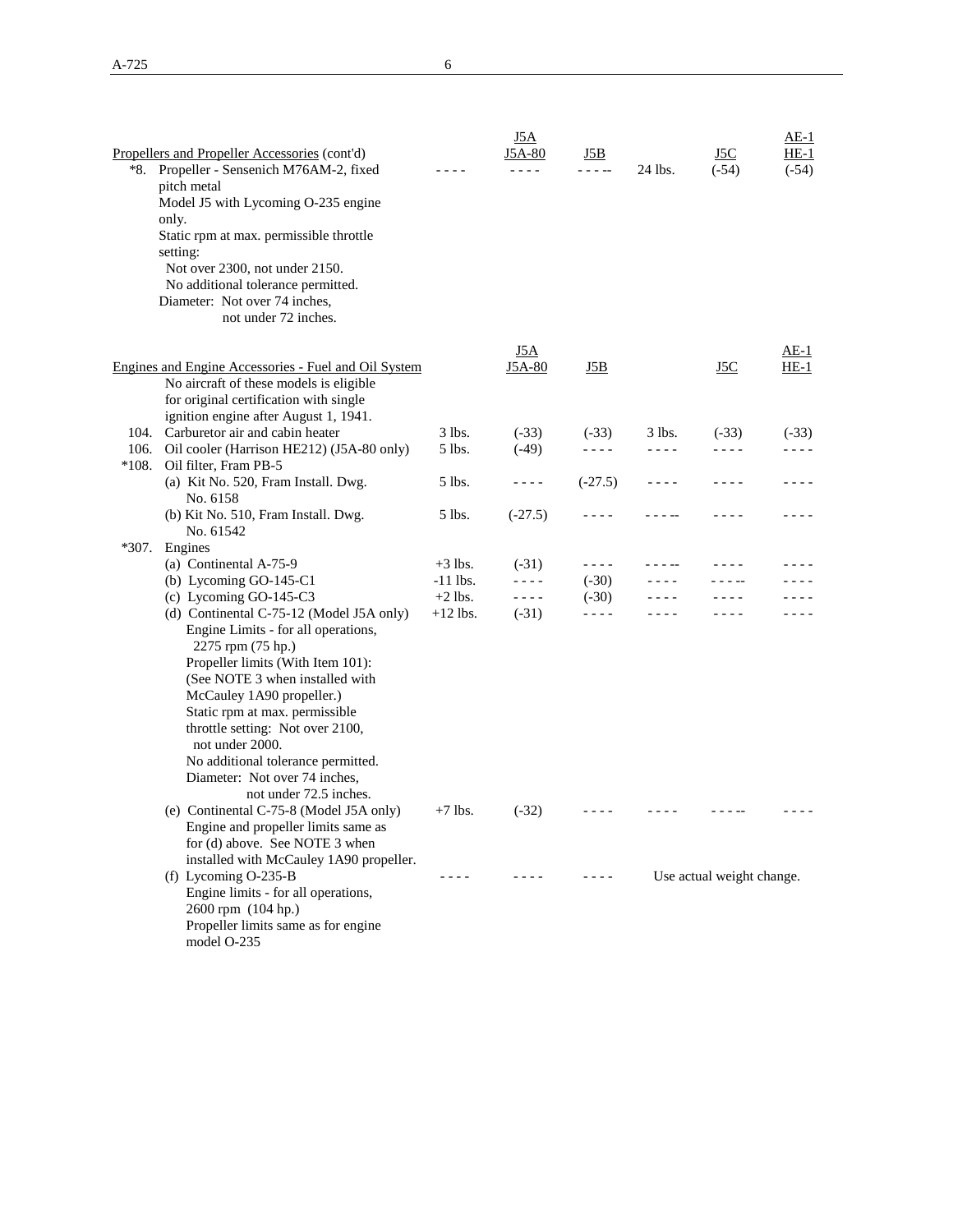|         | Propellers and Propeller Accessories (cont'd)               |            | <u>J5A</u><br>J5A-80 | J5B        |          | J5C                       | $AE-1$<br>$HE-1$ |
|---------|-------------------------------------------------------------|------------|----------------------|------------|----------|---------------------------|------------------|
|         | *8. Propeller - Sensenich M76AM-2, fixed                    |            | - - - -              | - - - --   | 24 lbs.  | $(-54)$                   | $(-54)$          |
|         | pitch metal                                                 |            |                      |            |          |                           |                  |
|         | Model J5 with Lycoming O-235 engine                         |            |                      |            |          |                           |                  |
|         | only.                                                       |            |                      |            |          |                           |                  |
|         | Static rpm at max. permissible throttle                     |            |                      |            |          |                           |                  |
|         | setting:                                                    |            |                      |            |          |                           |                  |
|         | Not over 2300, not under 2150.                              |            |                      |            |          |                           |                  |
|         | No additional tolerance permitted.                          |            |                      |            |          |                           |                  |
|         | Diameter: Not over 74 inches,                               |            |                      |            |          |                           |                  |
|         | not under 72 inches.                                        |            |                      |            |          |                           |                  |
|         |                                                             |            |                      |            |          |                           |                  |
|         | Engines and Engine Accessories - Fuel and Oil System        |            | J5A<br>J5A-80        | <u>J5B</u> |          | <u>J5C</u>                | AE-1<br>$HE-1$   |
|         | No aircraft of these models is eligible                     |            |                      |            |          |                           |                  |
|         | for original certification with single                      |            |                      |            |          |                           |                  |
|         | ignition engine after August 1, 1941.                       |            |                      |            |          |                           |                  |
|         | 104. Carburetor air and cabin heater                        | 3 lbs.     | $(-33)$              | $(-33)$    | $3$ lbs. | $(-33)$                   | $(-33)$          |
| 106.    | Oil cooler (Harrison HE212) (J5A-80 only)                   | 5 lbs.     | $(-49)$              | - - - -    | ----     | - - - -                   | - - - -          |
| $*108.$ | Oil filter, Fram PB-5                                       |            |                      |            |          |                           |                  |
|         | (a) Kit No. 520, Fram Install. Dwg.                         | 5 lbs.     | - - - -              | $(-27.5)$  | ----     |                           |                  |
|         | No. 6158                                                    |            |                      |            |          |                           |                  |
|         | (b) Kit No. 510, Fram Install. Dwg.<br>No. 61542            | 5 lbs.     | $(-27.5)$            | - - - -    |          |                           |                  |
| $*307.$ | Engines                                                     |            |                      |            |          |                           |                  |
|         | (a) Continental A-75-9                                      | $+3$ lbs.  | $(-31)$              | $- - - -$  |          |                           |                  |
|         | (b) Lycoming GO-145-C1                                      | $-11$ lbs. | - - - -              | $(-30)$    |          |                           |                  |
|         | (c) Lycoming GO-145-C3                                      | $+2$ lbs.  | - - - -              | $(-30)$    |          |                           |                  |
|         | (d) Continental C-75-12 (Model J5A only)                    | $+12$ lbs. | $(-31)$              | - - - -    |          |                           |                  |
|         | Engine Limits - for all operations,                         |            |                      |            |          |                           |                  |
|         | 2275 rpm (75 hp.)                                           |            |                      |            |          |                           |                  |
|         | Propeller limits (With Item 101):                           |            |                      |            |          |                           |                  |
|         | (See NOTE 3 when installed with                             |            |                      |            |          |                           |                  |
|         | McCauley 1A90 propeller.)<br>Static rpm at max. permissible |            |                      |            |          |                           |                  |
|         | throttle setting: Not over 2100,                            |            |                      |            |          |                           |                  |
|         | not under 2000.                                             |            |                      |            |          |                           |                  |
|         | No additional tolerance permitted.                          |            |                      |            |          |                           |                  |
|         | Diameter: Not over 74 inches.                               |            |                      |            |          |                           |                  |
|         | not under 72.5 inches.                                      |            |                      |            |          |                           |                  |
|         | (e) Continental C-75-8 (Model J5A only)                     | $+7$ lbs.  | $(-32)$              |            |          |                           |                  |
|         | Engine and propeller limits same as                         |            |                      |            |          |                           |                  |
|         | for (d) above. See NOTE 3 when                              |            |                      |            |          |                           |                  |
|         | installed with McCauley 1A90 propeller.                     |            |                      |            |          |                           |                  |
|         | (f) Lycoming $O-235-B$                                      |            |                      |            |          | Use actual weight change. |                  |
|         | Engine limits - for all operations,                         |            |                      |            |          |                           |                  |
|         | 2600 rpm (104 hp.)                                          |            |                      |            |          |                           |                  |
|         | Propeller limits same as for engine                         |            |                      |            |          |                           |                  |
|         | model O-235                                                 |            |                      |            |          |                           |                  |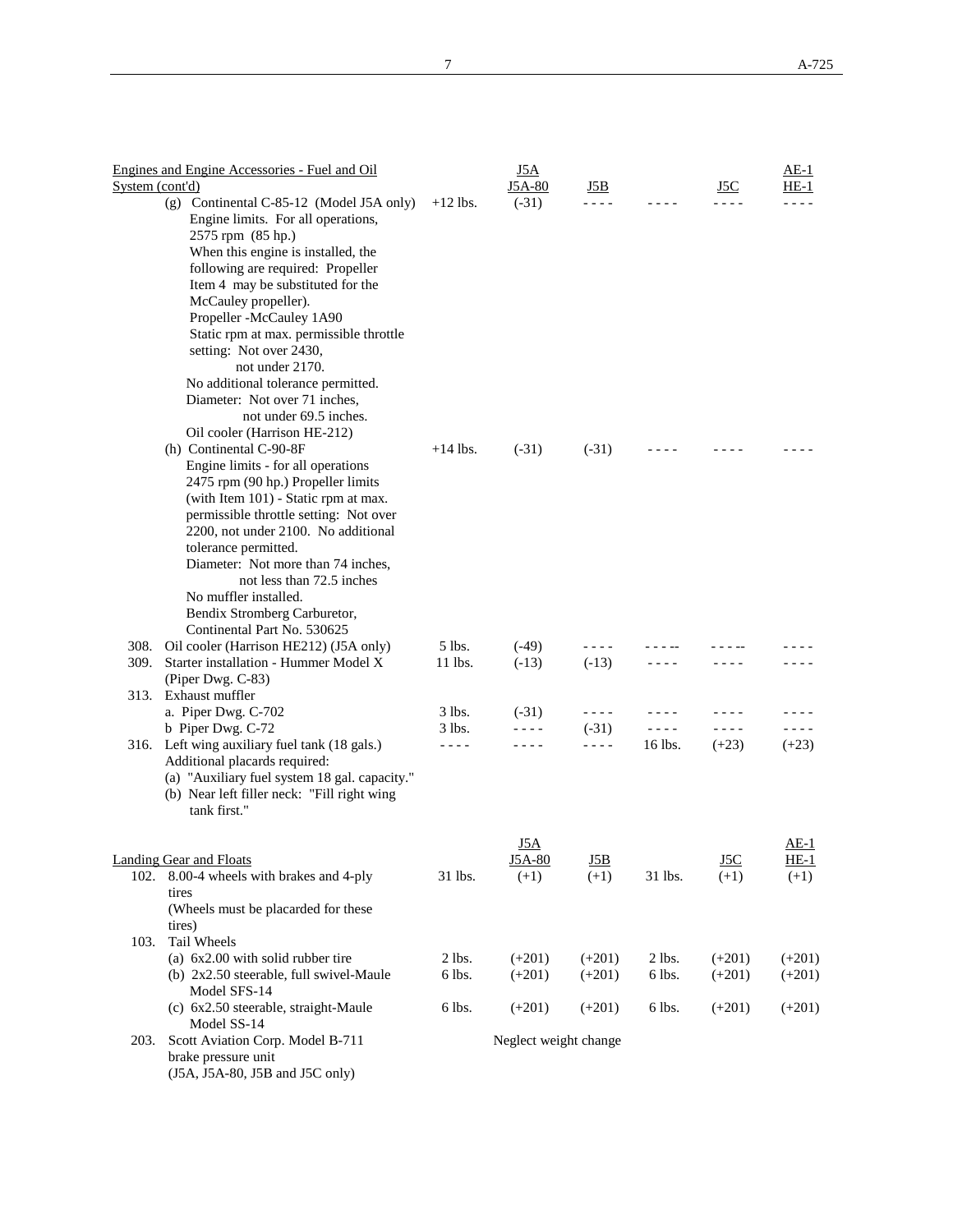|                 | Engines and Engine Accessories - Fuel and Oil                            |            | <u>J5A</u>            |          |           |            | <u>AE-1</u> |
|-----------------|--------------------------------------------------------------------------|------------|-----------------------|----------|-----------|------------|-------------|
| System (cont'd) |                                                                          |            | J5A-80                | J5B      |           | J5C        | HE-1        |
|                 | (g) Continental C-85-12 (Model J5A only)                                 | $+12$ lbs. | $(-31)$               |          |           |            |             |
|                 | Engine limits. For all operations,                                       |            |                       |          |           |            |             |
|                 | 2575 rpm (85 hp.)                                                        |            |                       |          |           |            |             |
|                 | When this engine is installed, the                                       |            |                       |          |           |            |             |
|                 | following are required: Propeller                                        |            |                       |          |           |            |             |
|                 | Item 4 may be substituted for the                                        |            |                       |          |           |            |             |
|                 | McCauley propeller).                                                     |            |                       |          |           |            |             |
|                 | Propeller -McCauley 1A90                                                 |            |                       |          |           |            |             |
|                 | Static rpm at max. permissible throttle                                  |            |                       |          |           |            |             |
|                 | setting: Not over 2430,                                                  |            |                       |          |           |            |             |
|                 | not under 2170.                                                          |            |                       |          |           |            |             |
|                 | No additional tolerance permitted.                                       |            |                       |          |           |            |             |
|                 | Diameter: Not over 71 inches,                                            |            |                       |          |           |            |             |
|                 | not under 69.5 inches.                                                   |            |                       |          |           |            |             |
|                 | Oil cooler (Harrison HE-212)                                             |            |                       |          |           |            |             |
|                 | (h) Continental C-90-8F                                                  | $+14$ lbs. | $(-31)$               | $(-31)$  |           |            |             |
|                 | Engine limits - for all operations<br>2475 rpm (90 hp.) Propeller limits |            |                       |          |           |            |             |
|                 | (with Item 101) - Static rpm at max.                                     |            |                       |          |           |            |             |
|                 | permissible throttle setting: Not over                                   |            |                       |          |           |            |             |
|                 | 2200, not under 2100. No additional                                      |            |                       |          |           |            |             |
|                 | tolerance permitted.                                                     |            |                       |          |           |            |             |
|                 | Diameter: Not more than 74 inches,                                       |            |                       |          |           |            |             |
|                 | not less than 72.5 inches                                                |            |                       |          |           |            |             |
|                 | No muffler installed.                                                    |            |                       |          |           |            |             |
|                 | Bendix Stromberg Carburetor,                                             |            |                       |          |           |            |             |
|                 | Continental Part No. 530625                                              |            |                       |          |           |            |             |
| 308.            | Oil cooler (Harrison HE212) (J5A only)                                   | 5 lbs.     | $(-49)$               | ----     |           |            |             |
| 309.            | Starter installation - Hummer Model X                                    | 11 lbs.    | $(-13)$               | $(-13)$  |           |            |             |
|                 | (Piper Dwg. C-83)                                                        |            |                       |          |           |            |             |
| 313.            | Exhaust muffler                                                          |            |                       |          |           |            |             |
|                 | a. Piper Dwg. C-702                                                      | 3 lbs.     | $(-31)$               | - - - -  |           |            |             |
|                 | b Piper Dwg. C-72                                                        | 3 lbs.     | - - - -               | $(-31)$  | $- - - -$ | $- - - -$  |             |
|                 | 316. Left wing auxiliary fuel tank (18 gals.)                            |            | - - - -               | ----     | 16 lbs.   | $(+23)$    | $(+23)$     |
|                 | Additional placards required:                                            |            |                       |          |           |            |             |
|                 | (a) "Auxiliary fuel system 18 gal. capacity."                            |            |                       |          |           |            |             |
|                 | (b) Near left filler neck: "Fill right wing<br>tank first."              |            |                       |          |           |            |             |
|                 |                                                                          |            |                       |          |           |            |             |
|                 |                                                                          |            | J5A                   |          |           |            | AE-1        |
|                 | <b>Landing Gear and Floats</b>                                           |            | J5A-80                | J5B      |           | <u>J5C</u> | $HE-1$      |
| 102.            | 8.00-4 wheels with brakes and 4-ply                                      | 31 lbs.    | $(+1)$                | $(+1)$   | 31 lbs.   | $(+1)$     | $(+1)$      |
|                 | tires                                                                    |            |                       |          |           |            |             |
|                 | (Wheels must be placarded for these                                      |            |                       |          |           |            |             |
|                 | tires)                                                                   |            |                       |          |           |            |             |
| 103.            | Tail Wheels                                                              |            |                       |          |           |            |             |
|                 | (a) 6x2.00 with solid rubber tire                                        | 2 lbs.     | $(+201)$              | $(+201)$ | $2$ lbs.  | $(+201)$   | $(+201)$    |
|                 | (b) 2x2.50 steerable, full swivel-Maule                                  | 6 lbs.     | $(+201)$              | $(+201)$ | 6 lbs.    | $(+201)$   | $(+201)$    |
|                 | Model SFS-14                                                             |            |                       |          |           |            |             |
|                 | (c) 6x2.50 steerable, straight-Maule                                     | 6 lbs.     | $(+201)$              | $(+201)$ | 6 lbs.    | $(+201)$   | $(+201)$    |
|                 | Model SS-14                                                              |            |                       |          |           |            |             |
| 203.            | Scott Aviation Corp. Model B-711                                         |            | Neglect weight change |          |           |            |             |
|                 | brake pressure unit                                                      |            |                       |          |           |            |             |

(J5A, J5A-80, J5B and J5C only)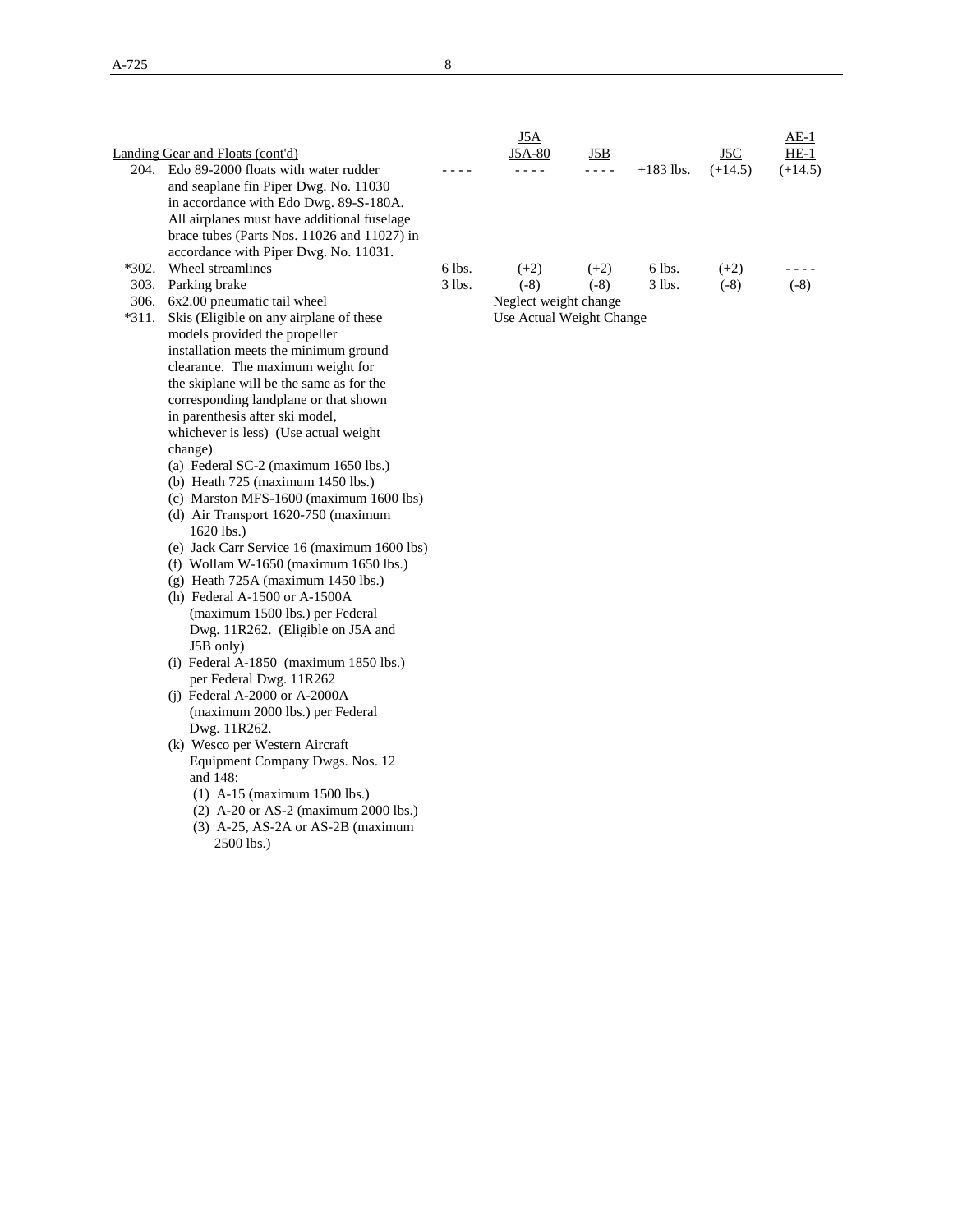|         |                                                                        |          | J5A                      |         |             |           | $AE-1$    |
|---------|------------------------------------------------------------------------|----------|--------------------------|---------|-------------|-----------|-----------|
|         | Landing Gear and Floats (cont'd)                                       |          | J5A-80                   | J5B     |             | J5C       | $HE-1$    |
|         | 204. Edo 89-2000 floats with water rudder                              |          | - - - -                  | - - - - | $+183$ lbs. | $(+14.5)$ | $(+14.5)$ |
|         | and seaplane fin Piper Dwg. No. 11030                                  |          |                          |         |             |           |           |
|         | in accordance with Edo Dwg. 89-S-180A.                                 |          |                          |         |             |           |           |
|         | All airplanes must have additional fuselage                            |          |                          |         |             |           |           |
|         | brace tubes (Parts Nos. 11026 and 11027) in                            |          |                          |         |             |           |           |
|         | accordance with Piper Dwg. No. 11031.                                  |          |                          |         |             |           |           |
| $*302.$ | Wheel streamlines                                                      | 6 lbs.   | $(+2)$                   | $(+2)$  | 6 lbs.      | $(+2)$    |           |
|         | 303. Parking brake                                                     | $3$ lbs. | $(-8)$                   | $(-8)$  | 3 lbs.      | $(-8)$    | $(-8)$    |
|         | 306. 6x2.00 pneumatic tail wheel                                       |          | Neglect weight change    |         |             |           |           |
| *311.   | Skis (Eligible on any airplane of these                                |          | Use Actual Weight Change |         |             |           |           |
|         | models provided the propeller                                          |          |                          |         |             |           |           |
|         | installation meets the minimum ground                                  |          |                          |         |             |           |           |
|         | clearance. The maximum weight for                                      |          |                          |         |             |           |           |
|         | the skiplane will be the same as for the                               |          |                          |         |             |           |           |
|         | corresponding landplane or that shown                                  |          |                          |         |             |           |           |
|         | in parenthesis after ski model,                                        |          |                          |         |             |           |           |
|         | whichever is less) (Use actual weight                                  |          |                          |         |             |           |           |
|         | change)                                                                |          |                          |         |             |           |           |
|         | (a) Federal SC-2 (maximum 1650 lbs.)                                   |          |                          |         |             |           |           |
|         | (b) Heath 725 (maximum 1450 lbs.)                                      |          |                          |         |             |           |           |
|         | (c) Marston MFS-1600 (maximum 1600 lbs)                                |          |                          |         |             |           |           |
|         | (d) Air Transport 1620-750 (maximum                                    |          |                          |         |             |           |           |
|         | 1620 lbs.)                                                             |          |                          |         |             |           |           |
|         | (e) Jack Carr Service 16 (maximum 1600 lbs)                            |          |                          |         |             |           |           |
|         | (f) Wollam W-1650 (maximum 1650 lbs.)                                  |          |                          |         |             |           |           |
|         | (g) Heath $725A$ (maximum 1450 lbs.)                                   |          |                          |         |             |           |           |
|         | (h) Federal A-1500 or A-1500A                                          |          |                          |         |             |           |           |
|         | (maximum 1500 lbs.) per Federal                                        |          |                          |         |             |           |           |
|         | Dwg. 11R262. (Eligible on J5A and                                      |          |                          |         |             |           |           |
|         | J5B only)                                                              |          |                          |         |             |           |           |
|         | (i) Federal A-1850 (maximum 1850 lbs.)                                 |          |                          |         |             |           |           |
|         | per Federal Dwg. 11R262                                                |          |                          |         |             |           |           |
|         | (i) Federal A-2000 or A-2000A                                          |          |                          |         |             |           |           |
|         | (maximum 2000 lbs.) per Federal                                        |          |                          |         |             |           |           |
|         | Dwg. 11R262.<br>(k) Wesco per Western Aircraft                         |          |                          |         |             |           |           |
|         |                                                                        |          |                          |         |             |           |           |
|         | Equipment Company Dwgs. Nos. 12<br>and 148:                            |          |                          |         |             |           |           |
|         |                                                                        |          |                          |         |             |           |           |
|         | (1) A-15 (maximum 1500 lbs.)<br>$(2)$ A-20 or AS-2 (maximum 2000 lbs.) |          |                          |         |             |           |           |
|         | $(3)$ A-25, AS-2A or AS-2B (maximum)                                   |          |                          |         |             |           |           |
|         | 2500 lbs.)                                                             |          |                          |         |             |           |           |
|         |                                                                        |          |                          |         |             |           |           |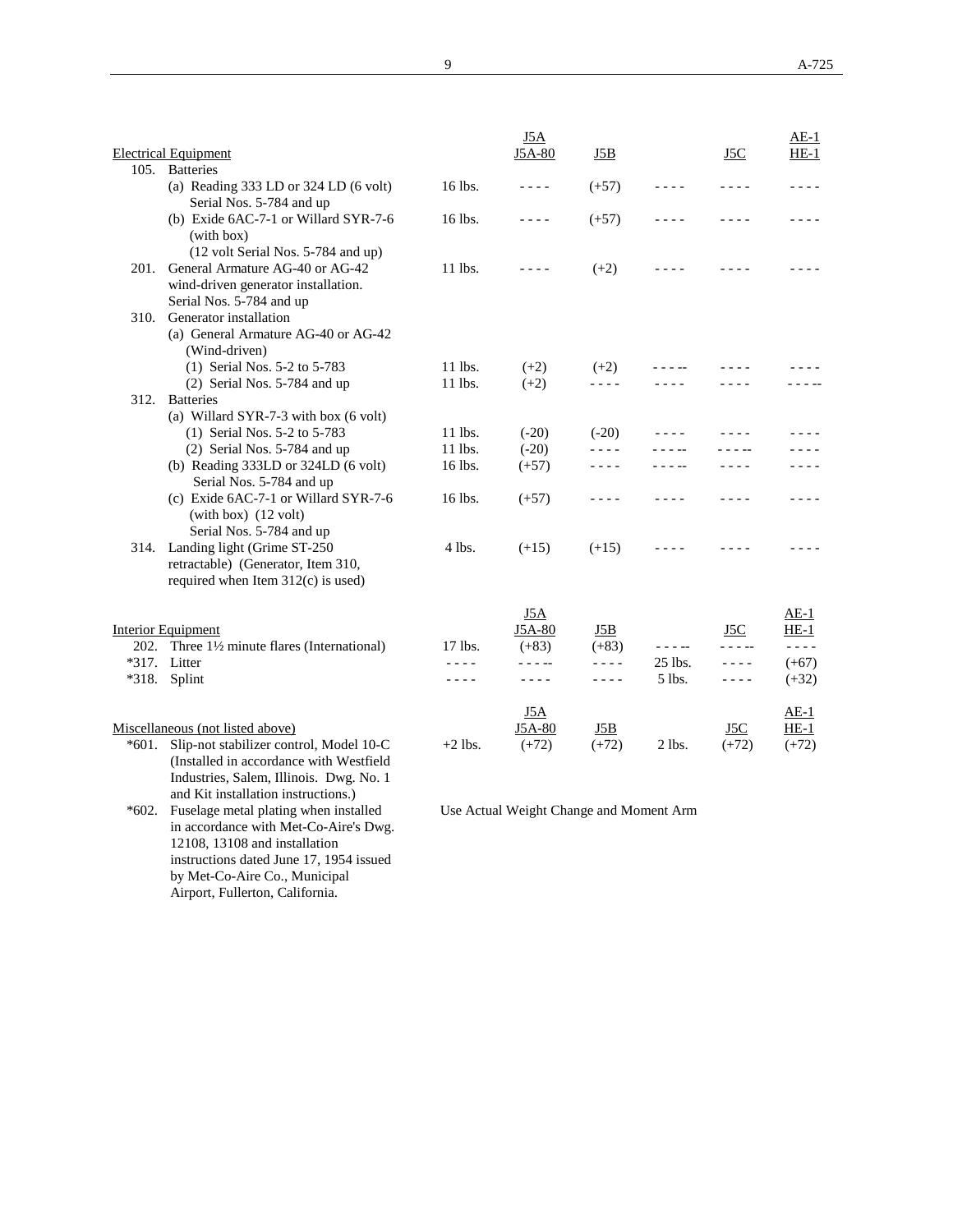|       |                                                                                                                                          |           | <u>J5A</u>    |           |             |           | $AE-1$           |
|-------|------------------------------------------------------------------------------------------------------------------------------------------|-----------|---------------|-----------|-------------|-----------|------------------|
| 105.  | <b>Electrical Equipment</b><br><b>Batteries</b>                                                                                          |           | J5A-80        | J5B       |             | J5C       | $HE-1$           |
|       | (a) Reading 333 LD or 324 LD (6 volt)                                                                                                    | 16 lbs.   | $- - - -$     | $(+57)$   | ----        |           | - - - -          |
|       | Serial Nos. 5-784 and up<br>(b) Exide 6AC-7-1 or Willard SYR-7-6<br>(with box)                                                           | 16 lbs.   | - - - -       | $(+57)$   | - - - -     |           |                  |
| 201.  | (12 volt Serial Nos. 5-784 and up)<br>General Armature AG-40 or AG-42<br>wind-driven generator installation.<br>Serial Nos. 5-784 and up | 11 lbs.   | $- - - -$     | $(+2)$    |             |           |                  |
|       | 310. Generator installation<br>(a) General Armature AG-40 or AG-42<br>(Wind-driven)                                                      |           |               |           |             |           |                  |
|       | (1) Serial Nos. 5-2 to 5-783                                                                                                             | 11 lbs.   | $(+2)$        | $(+2)$    |             |           |                  |
|       | $(2)$ Serial Nos. 5-784 and up                                                                                                           | 11 lbs.   | $(+2)$        | - - - -   |             |           |                  |
| 312.  | <b>Batteries</b><br>(a) Willard SYR-7-3 with box (6 volt)                                                                                |           |               |           |             |           |                  |
|       | (1) Serial Nos. 5-2 to 5-783                                                                                                             | 11 lbs.   | $(-20)$       | $(-20)$   |             |           |                  |
|       | (2) Serial Nos. 5-784 and up                                                                                                             | 11 lbs.   | $(-20)$       | - - - -   |             |           |                  |
|       | (b) Reading $333LD$ or $324LD$ (6 volt)<br>Serial Nos. 5-784 and up                                                                      | 16 lbs.   | $(+57)$       | - - - -   |             |           |                  |
|       | (c) Exide 6AC-7-1 or Willard SYR-7-6<br>$(with box)$ $(12 volt)$<br>Serial Nos. 5-784 and up                                             | 16 lbs.   | $(+57)$       | - - - -   | - - - -     | ----      |                  |
|       | 314. Landing light (Grime ST-250<br>retractable) (Generator, Item 310,<br>required when Item $312(c)$ is used)                           | $4$ lbs.  | $(+15)$       | $(+15)$   |             |           |                  |
|       |                                                                                                                                          |           | <u>J5A</u>    |           |             |           | $AE-1$           |
|       | Interior Equipment                                                                                                                       |           | J5A-80        | J5B       |             | J5C       | $HE-1$           |
| 202.  | Three 11/2 minute flares (International)                                                                                                 | 17 lbs.   | $(+83)$       | $(+83)$   | $- - - - -$ | - - - --  | $- - - -$        |
|       | *317. Litter                                                                                                                             | $- - - -$ | - - - --      | $- - - -$ | 25 lbs.     | $- - - -$ | $(+67)$          |
|       | *318. Splint                                                                                                                             | $- - -$   | ----          | ----      | 5 lbs.      | ----      | $(+32)$          |
|       | Miscellaneous (not listed above)                                                                                                         |           | J5A<br>J5A-80 | J5B       |             | J5C       | $AE-1$<br>$HE-1$ |
| *601. | Slip-not stabilizer control, Model 10-C<br>(Installed in accordance with Westfield<br>Industries, Salem, Illinois. Dwg. No. 1            | $+2$ lbs. | $(+72)$       | $(+72)$   | $2$ lbs.    | $(+72)$   | $(+72)$          |

and Kit installation instructions.) \*602. Fuselage metal plating when installed in accordance with Met-Co-Aire's Dwg. 12108, 13108 and installation instructions dated June 17, 1954 issued by Met-Co-Aire Co., Municipal Airport, Fullerton, California.

Use Actual Weight Change and Moment Arm